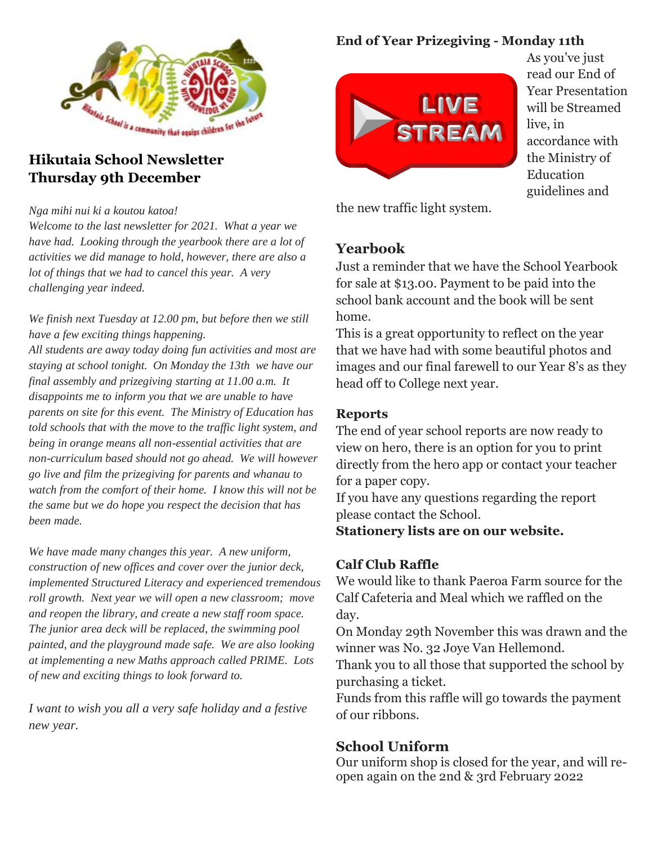

#### **Hikutaia School Newsletter Thursday 9th December**

*Nga mihi nui ki a koutou katoa!* 

*Welcome to the last newsletter for 2021. What a year we have had. Looking through the yearbook there are a lot of activities we did manage to hold, however, there are also a lot of things that we had to cancel this year. A very challenging year indeed.*

*We finish next Tuesday at 12.00 pm, but before then we still have a few exciting things happening.* 

*All students are away today doing fun activities and most are staying at school tonight. On Monday the 13th we have our final assembly and prizegiving starting at 11.00 a.m. It disappoints me to inform you that we are unable to have parents on site for this event. The Ministry of Education has told schools that with the move to the traffic light system, and being in orange means all non-essential activities that are non-curriculum based should not go ahead. We will however go live and film the prizegiving for parents and whanau to watch from the comfort of their home. I know this will not be the same but we do hope you respect the decision that has been made.*

*We have made many changes this year. A new uniform, construction of new offices and cover over the junior deck, implemented Structured Literacy and experienced tremendous roll growth. Next year we will open a new classroom; move and reopen the library, and create a new staff room space. The junior area deck will be replaced, the swimming pool painted, and the playground made safe. We are also looking at implementing a new Maths approach called PRIME. Lots of new and exciting things to look forward to.*

*I want to wish you all a very safe holiday and a festive new year.* 

#### **End of Year Prizegiving - Monday 11th**



As you've just read our End of Year Presentation will be Streamed live, in accordance with the Ministry of Education guidelines and

the new traffic light system.

### **Yearbook**

Just a reminder that we have the School Yearbook for sale at \$13.00. Payment to be paid into the school bank account and the book will be sent home.

This is a great opportunity to reflect on the year that we have had with some beautiful photos and images and our final farewell to our Year 8's as they head off to College next year.

#### **Reports**

The end of year school reports are now ready to view on hero, there is an option for you to print directly from the hero app or contact your teacher for a paper copy.

If you have any questions regarding the report please contact the School.

**Stationery lists are on our website.**

### **Calf Club Raffle**

We would like to thank Paeroa Farm source for the Calf Cafeteria and Meal which we raffled on the day.

On Monday 29th November this was drawn and the winner was No. 32 Joye Van Hellemond.

Thank you to all those that supported the school by purchasing a ticket.

Funds from this raffle will go towards the payment of our ribbons.

## **School Uniform**

Our uniform shop is closed for the year, and will reopen again on the 2nd & 3rd February 2022